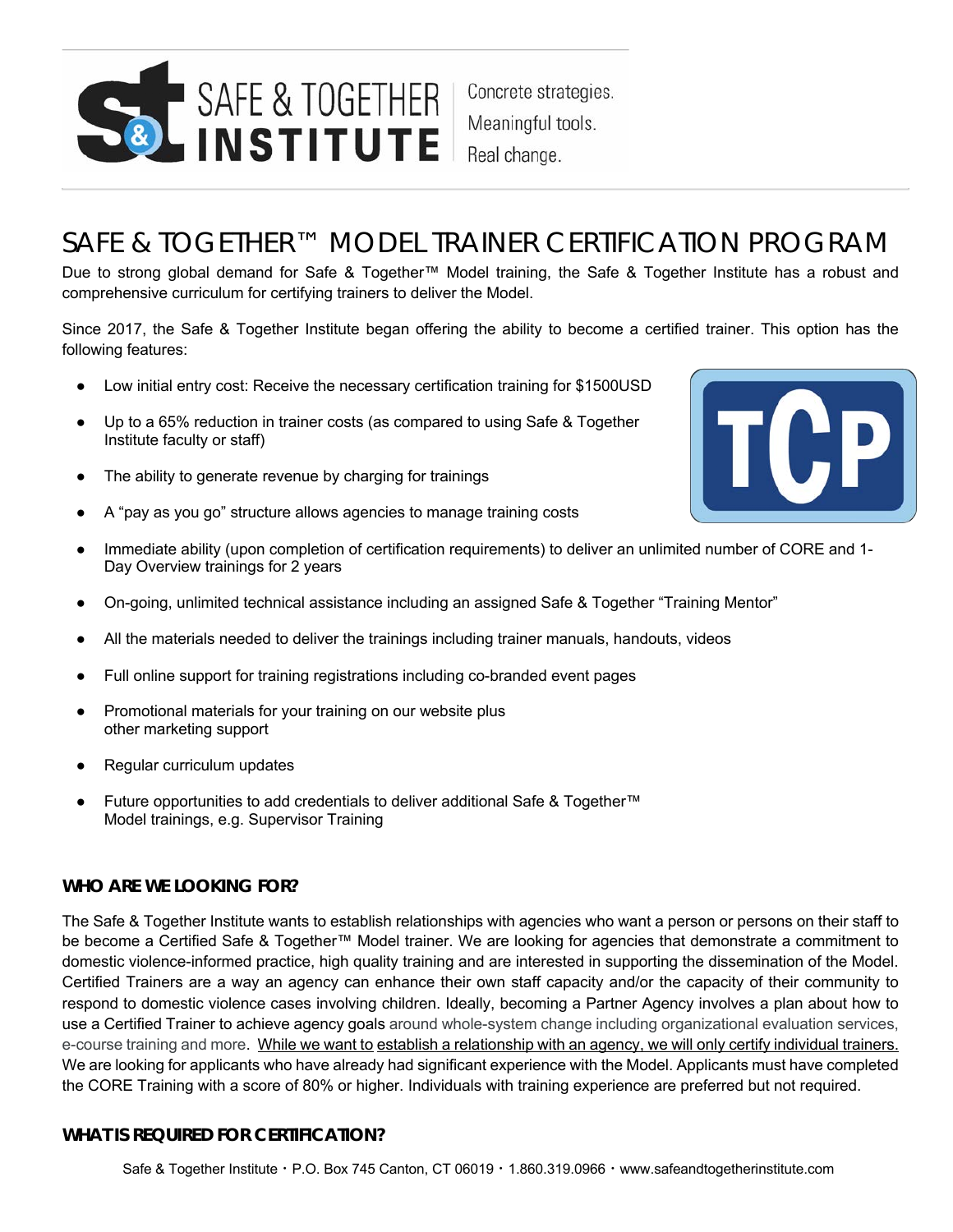

Concrete strategies. Meaningful tools. Real change.

# SAFE & TOGETHER™ MODEL TRAINER CERTIFICATION PROGRAM

Due to strong global demand for Safe & Together™ Model training, the Safe & Together Institute has a robust and comprehensive curriculum for certifying trainers to deliver the Model.

Since 2017, the Safe & Together Institute began offering the ability to become a certified trainer. This option has the following features:

- Low initial entry cost: Receive the necessary certification training for \$1500USD
- Up to a 65% reduction in trainer costs (as compared to using Safe & Together Institute faculty or staff)
- The ability to generate revenue by charging for trainings
- A "pay as you go" structure allows agencies to manage training costs
- Immediate ability (upon completion of certification requirements) to deliver an unlimited number of CORE and 1-Day Overview trainings for 2 years
- On-going, unlimited technical assistance including an assigned Safe & Together "Training Mentor"
- All the materials needed to deliver the trainings including trainer manuals, handouts, videos
- Full online support for training registrations including co-branded event pages
- Promotional materials for your training on our website plus other marketing support
- Regular curriculum updates
- Future opportunities to add credentials to deliver additional Safe & Together™ Model trainings, e.g. Supervisor Training

#### **WHO ARE WE LOOKING FOR?**

The Safe & Together Institute wants to establish relationships with agencies who want a person or persons on their staff to be become a Certified Safe & Together™ Model trainer. We are looking for agencies that demonstrate a commitment to domestic violence-informed practice, high quality training and are interested in supporting the dissemination of the Model. Certified Trainers are a way an agency can enhance their own staff capacity and/or the capacity of their community to respond to domestic violence cases involving children. Ideally, becoming a Partner Agency involves a plan about how to use a Certified Trainer to achieve agency goals around whole-system change including organizational evaluation services, e-course training and more. While we want to establish a relationship with an agency, we will only certify individual trainers. We are looking for applicants who have already had significant experience with the Model. Applicants must have completed the CORE Training with a score of 80% or higher. Individuals with training experience are preferred but not required.

## **WHAT IS REQUIRED FOR CERTIFICATION?**

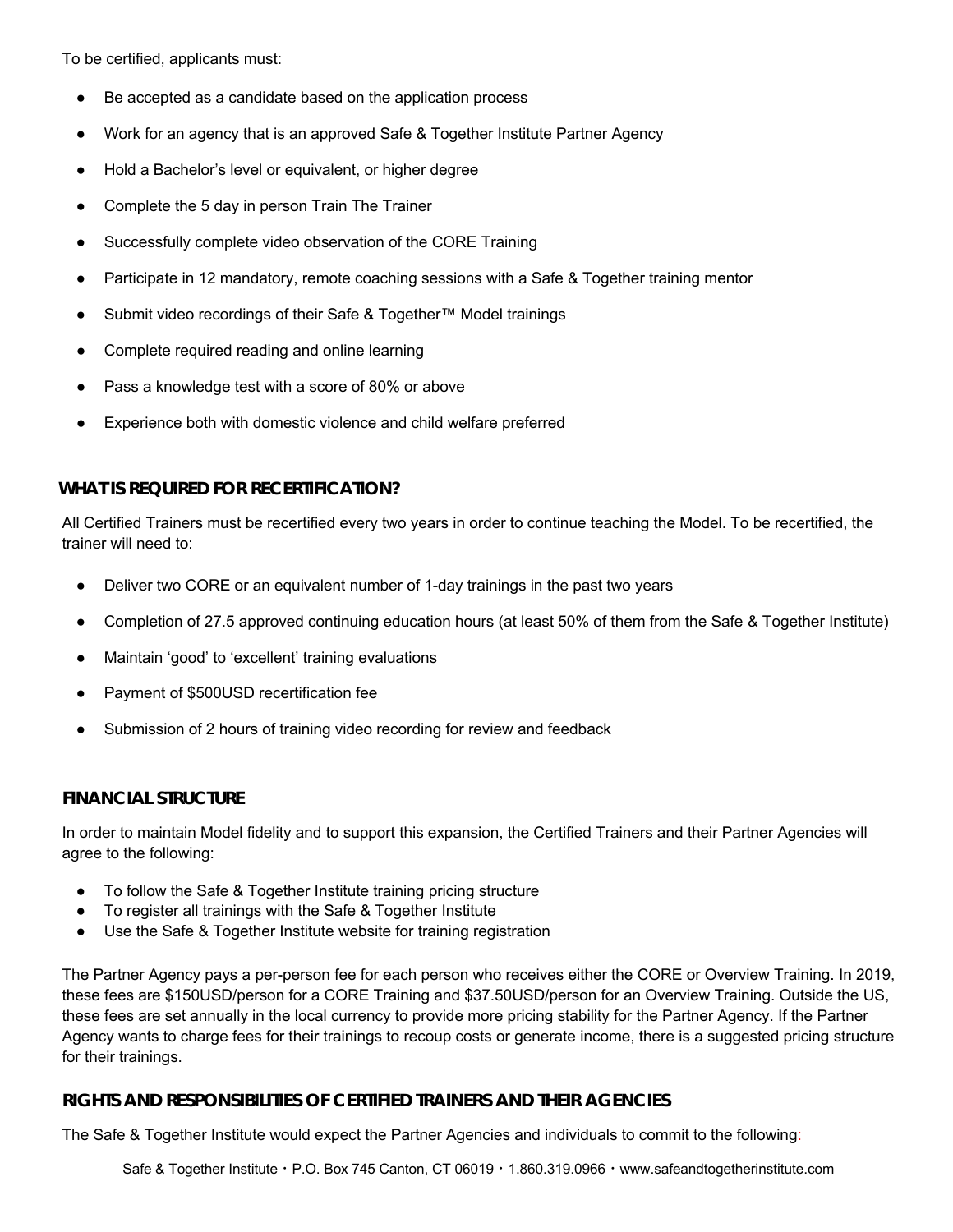To be certified, applicants must:

- Be accepted as a candidate based on the application process
- Work for an agency that is an approved Safe & Together Institute Partner Agency
- Hold a Bachelor's level or equivalent, or higher degree
- Complete the 5 day in person Train The Trainer
- Successfully complete video observation of the CORE Training
- Participate in 12 mandatory, remote coaching sessions with a Safe & Together training mentor
- Submit video recordings of their Safe & Together™ Model trainings
- Complete required reading and online learning
- Pass a knowledge test with a score of 80% or above
- Experience both with domestic violence and child welfare preferred

# **WHAT IS REQUIRED FOR RECERTIFICATION?**

All Certified Trainers must be recertified every two years in order to continue teaching the Model. To be recertified, the trainer will need to:

- Deliver two CORE or an equivalent number of 1-day trainings in the past two years
- Completion of 27.5 approved continuing education hours (at least 50% of them from the Safe & Together Institute)
- Maintain 'good' to 'excellent' training evaluations
- Payment of \$500USD recertification fee
- Submission of 2 hours of training video recording for review and feedback

## **FINANCIAL STRUCTURE**

In order to maintain Model fidelity and to support this expansion, the Certified Trainers and their Partner Agencies will agree to the following:

- To follow the Safe & Together Institute training pricing structure
- To register all trainings with the Safe & Together Institute
- Use the Safe & Together Institute website for training registration

The Partner Agency pays a per-person fee for each person who receives either the CORE or Overview Training. In 2019, these fees are \$150USD/person for a CORE Training and \$37.50USD/person for an Overview Training. Outside the US, these fees are set annually in the local currency to provide more pricing stability for the Partner Agency. If the Partner Agency wants to charge fees for their trainings to recoup costs or generate income, there is a suggested pricing structure for their trainings.

## **RIGHTS AND RESPONSIBILITIES OF CERTIFIED TRAINERS AND THEIR AGENCIES**

The Safe & Together Institute would expect the Partner Agencies and individuals to commit to the following:

Safe & Together Institute · P.O. Box 745 Canton, CT 06019 · 1.860.319.0966 · www.safeandtogetherinstitute.com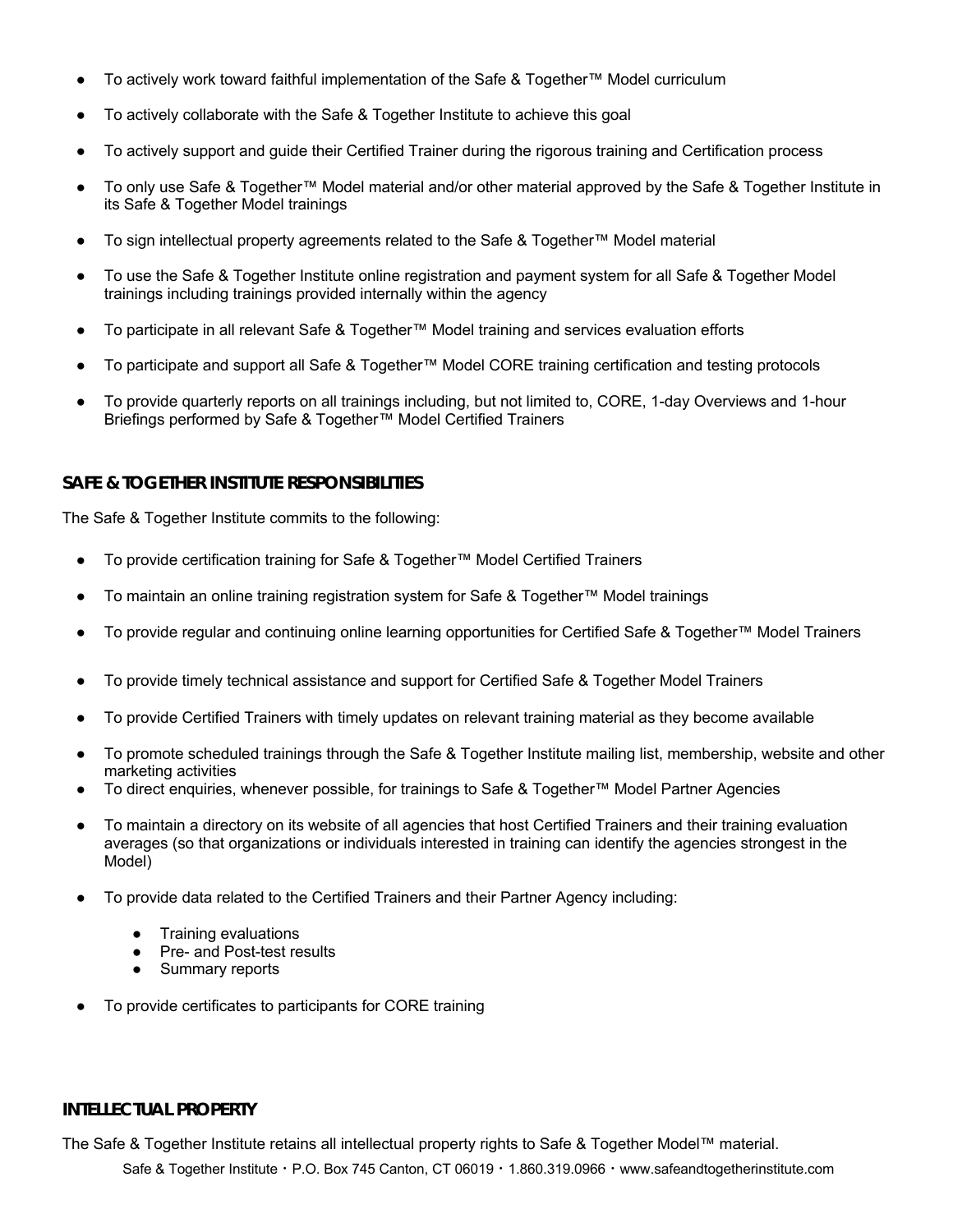- To actively work toward faithful implementation of the Safe & Together™ Model curriculum
- To actively collaborate with the Safe & Together Institute to achieve this goal
- To actively support and guide their Certified Trainer during the rigorous training and Certification process
- To only use Safe & Together™ Model material and/or other material approved by the Safe & Together Institute in its Safe & Together Model trainings
- To sign intellectual property agreements related to the Safe & Together™ Model material
- To use the Safe & Together Institute online registration and payment system for all Safe & Together Model trainings including trainings provided internally within the agency
- To participate in all relevant Safe & Together™ Model training and services evaluation efforts
- To participate and support all Safe & Together™ Model CORE training certification and testing protocols
- To provide quarterly reports on all trainings including, but not limited to, CORE, 1-day Overviews and 1-hour Briefings performed by Safe & Together™ Model Certified Trainers

## **SAFE & TOGETHER INSTITUTE RESPONSIBILITIES**

The Safe & Together Institute commits to the following:

- To provide certification training for Safe & Together™ Model Certified Trainers
- To maintain an online training registration system for Safe & Together™ Model trainings
- To provide regular and continuing online learning opportunities for Certified Safe & Together™ Model Trainers
- To provide timely technical assistance and support for Certified Safe & Together Model Trainers
- To provide Certified Trainers with timely updates on relevant training material as they become available
- To promote scheduled trainings through the Safe & Together Institute mailing list, membership, website and other marketing activities
- To direct enquiries, whenever possible, for trainings to Safe & Together™ Model Partner Agencies
- To maintain a directory on its website of all agencies that host Certified Trainers and their training evaluation averages (so that organizations or individuals interested in training can identify the agencies strongest in the Model)
- To provide data related to the Certified Trainers and their Partner Agency including:
	- Training evaluations
	- Pre- and Post-test results
	- Summary reports
- To provide certificates to participants for CORE training

#### **INTELLECTUAL PROPERTY**

Safe & Together Institute · P.O. Box 745 Canton, CT 06019 · 1.860.319.0966 · www.safeandtogetherinstitute.com The Safe & Together Institute retains all intellectual property rights to Safe & Together Model™ material.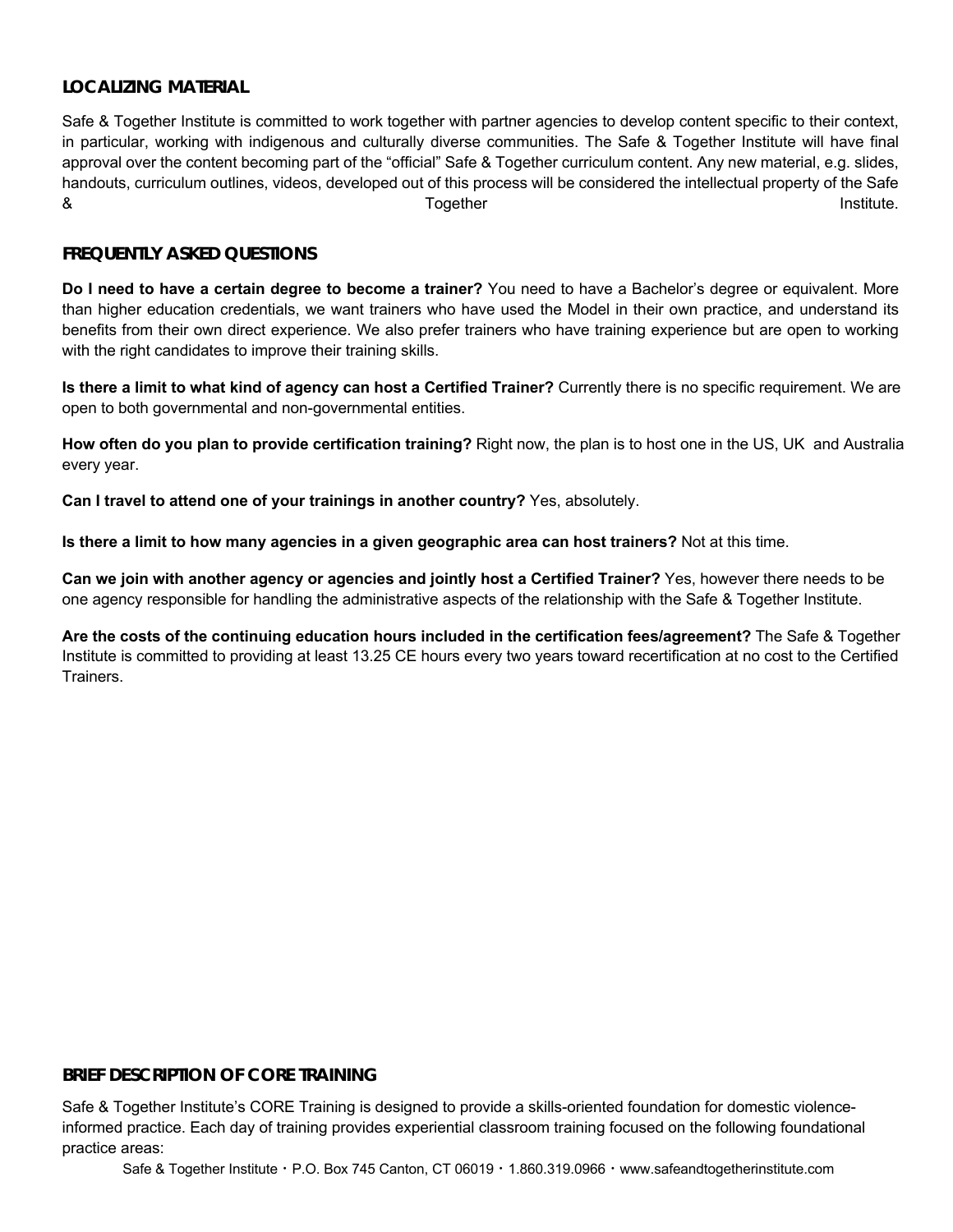# **LOCALIZING MATERIAL**

Safe & Together Institute is committed to work together with partner agencies to develop content specific to their context, in particular, working with indigenous and culturally diverse communities. The Safe & Together Institute will have final approval over the content becoming part of the "official" Safe & Together curriculum content. Any new material, e.g. slides, handouts, curriculum outlines, videos, developed out of this process will be considered the intellectual property of the Safe & Together Institute.

# **FREQUENTLY ASKED QUESTIONS**

**Do I need to have a certain degree to become a trainer?** You need to have a Bachelor's degree or equivalent. More than higher education credentials, we want trainers who have used the Model in their own practice, and understand its benefits from their own direct experience. We also prefer trainers who have training experience but are open to working with the right candidates to improve their training skills.

**Is there a limit to what kind of agency can host a Certified Trainer?** Currently there is no specific requirement. We are open to both governmental and non-governmental entities.

**How often do you plan to provide certification training?** Right now, the plan is to host one in the US, UK and Australia every year.

**Can I travel to attend one of your trainings in another country?** Yes, absolutely.

**Is there a limit to how many agencies in a given geographic area can host trainers?** Not at this time.

**Can we join with another agency or agencies and jointly host a Certified Trainer?** Yes, however there needs to be one agency responsible for handling the administrative aspects of the relationship with the Safe & Together Institute.

**Are the costs of the continuing education hours included in the certification fees/agreement?** The Safe & Together Institute is committed to providing at least 13.25 CE hours every two years toward recertification at no cost to the Certified Trainers.

#### **BRIEF DESCRIPTION OF CORE TRAINING**

Safe & Together Institute's CORE Training is designed to provide a skills-oriented foundation for domestic violenceinformed practice. Each day of training provides experiential classroom training focused on the following foundational practice areas: